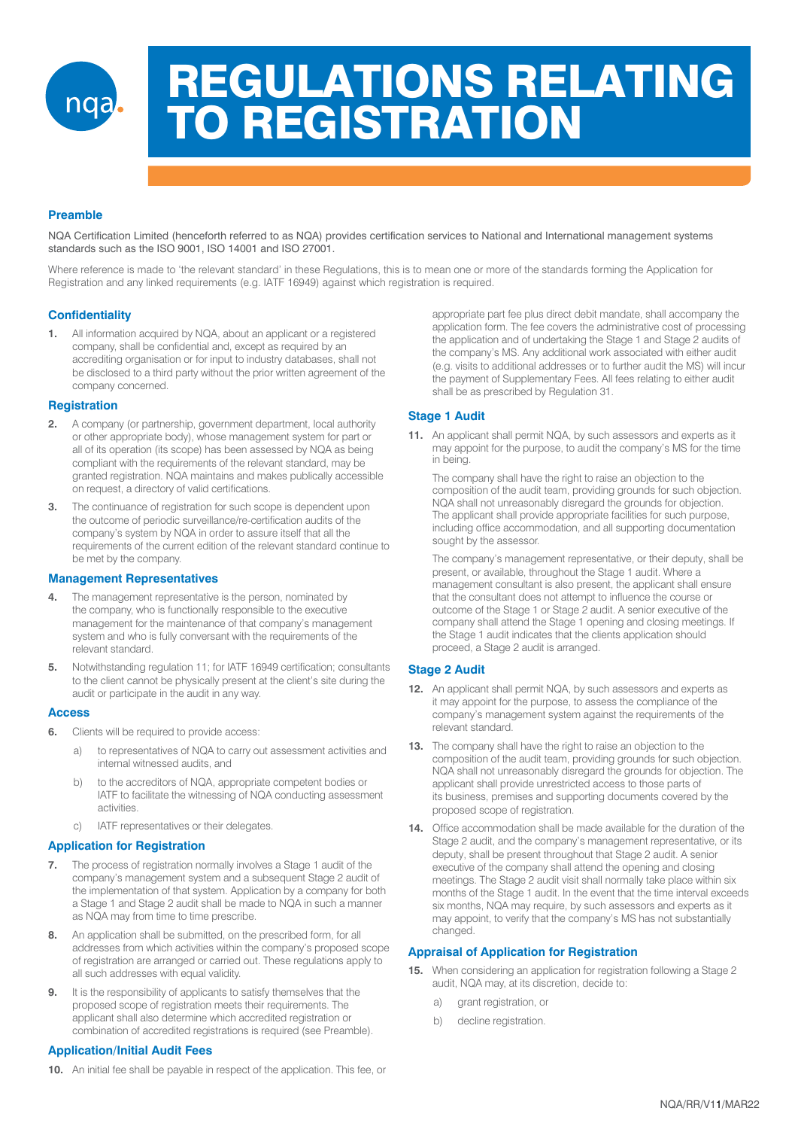

# REGULATIONS RELATING TO REGISTRATION

# **Preamble**

NQA Certification Limited (henceforth referred to as NQA) provides certification services to National and International management systems standards such as the ISO 9001, ISO 14001 and ISO 27001.

Where reference is made to 'the relevant standard' in these Regulations, this is to mean one or more of the standards forming the Application for Registration and any linked requirements (e.g. IATF 16949) against which registration is required.

# **Confidentiality**

**1.** All information acquired by NQA, about an applicant or a registered company, shall be confidential and, except as required by an accrediting organisation or for input to industry databases, shall not be disclosed to a third party without the prior written agreement of the company concerned.

## **Registration**

- **2.** A company (or partnership, government department, local authority or other appropriate body), whose management system for part or all of its operation (its scope) has been assessed by NQA as being compliant with the requirements of the relevant standard, may be granted registration. NQA maintains and makes publically accessible on request, a directory of valid certifications.
- **3.** The continuance of registration for such scope is dependent upon the outcome of periodic surveillance/re-certification audits of the company's system by NQA in order to assure itself that all the requirements of the current edition of the relevant standard continue to be met by the company.

## **Management Representatives**

- **4.** The management representative is the person, nominated by the company, who is functionally responsible to the executive management for the maintenance of that company's management system and who is fully conversant with the requirements of the relevant standard.
- **5.** Notwithstanding regulation 11; for IATF 16949 certification; consultants to the client cannot be physically present at the client's site during the audit or participate in the audit in any way.

#### **Access**

- **6.** Clients will be required to provide access:
	- a) to representatives of NQA to carry out assessment activities and internal witnessed audits, and
	- b) to the accreditors of NQA, appropriate competent bodies or IATF to facilitate the witnessing of NQA conducting assessment activities.
	- c) IATF representatives or their delegates.

## **Application for Registration**

- **7.** The process of registration normally involves a Stage 1 audit of the company's management system and a subsequent Stage 2 audit of the implementation of that system. Application by a company for both a Stage 1 and Stage 2 audit shall be made to NQA in such a manner as NQA may from time to time prescribe.
- **8.** An application shall be submitted, on the prescribed form, for all addresses from which activities within the company's proposed scope of registration are arranged or carried out. These regulations apply to all such addresses with equal validity.
- **9.** It is the responsibility of applicants to satisfy themselves that the proposed scope of registration meets their requirements. The applicant shall also determine which accredited registration or combination of accredited registrations is required (see Preamble).

## **Application/Initial Audit Fees**

**10.** An initial fee shall be payable in respect of the application. This fee, or

appropriate part fee plus direct debit mandate, shall accompany the application form. The fee covers the administrative cost of processing the application and of undertaking the Stage 1 and Stage 2 audits of the company's MS. Any additional work associated with either audit (e.g. visits to additional addresses or to further audit the MS) will incur the payment of Supplementary Fees. All fees relating to either audit shall be as prescribed by Regulation 31.

## **Stage 1 Audit**

**11.** An applicant shall permit NQA, by such assessors and experts as it may appoint for the purpose, to audit the company's MS for the time in being.

The company shall have the right to raise an objection to the composition of the audit team, providing grounds for such objection. NQA shall not unreasonably disregard the grounds for objection. The applicant shall provide appropriate facilities for such purpose, including office accommodation, and all supporting documentation sought by the assessor.

The company's management representative, or their deputy, shall be present, or available, throughout the Stage 1 audit. Where a management consultant is also present, the applicant shall ensure that the consultant does not attempt to influence the course or outcome of the Stage 1 or Stage 2 audit. A senior executive of the company shall attend the Stage 1 opening and closing meetings. If the Stage 1 audit indicates that the clients application should proceed, a Stage 2 audit is arranged.

## **Stage 2 Audit**

- **12.** An applicant shall permit NQA, by such assessors and experts as it may appoint for the purpose, to assess the compliance of the company's management system against the requirements of the relevant standard.
- **13.** The company shall have the right to raise an objection to the composition of the audit team, providing grounds for such objection. NQA shall not unreasonably disregard the grounds for objection. The applicant shall provide unrestricted access to those parts of its business, premises and supporting documents covered by the proposed scope of registration.
- **14.** Office accommodation shall be made available for the duration of the Stage 2 audit, and the company's management representative, or its deputy, shall be present throughout that Stage 2 audit. A senior executive of the company shall attend the opening and closing meetings. The Stage 2 audit visit shall normally take place within six months of the Stage 1 audit. In the event that the time interval exceeds six months, NQA may require, by such assessors and experts as it may appoint, to verify that the company's MS has not substantially changed.

## **Appraisal of Application for Registration**

- **15.** When considering an application for registration following a Stage 2 audit, NQA may, at its discretion, decide to:
	- a) grant registration, or
	- b) decline registration.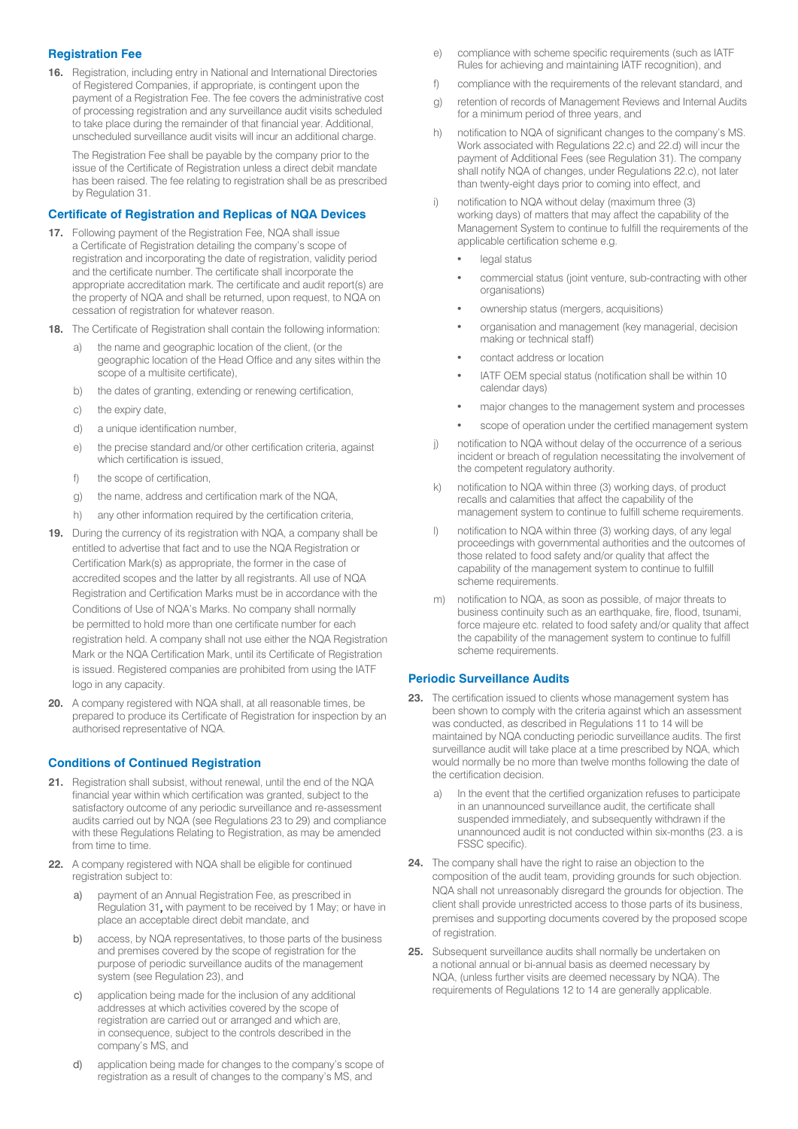# **Registration Fee**

**16.** Registration, including entry in National and International Directories of Registered Companies, if appropriate, is contingent upon the payment of a Registration Fee. The fee covers the administrative cost of processing registration and any surveillance audit visits scheduled to take place during the remainder of that financial year. Additional, unscheduled surveillance audit visits will incur an additional charge.

The Registration Fee shall be payable by the company prior to the issue of the Certificate of Registration unless a direct debit mandate has been raised. The fee relating to registration shall be as prescribed by Regulation 31.

## **Certificate of Registration and Replicas of NQA Devices**

- **17.** Following payment of the Registration Fee, NQA shall issue a Certificate of Registration detailing the company's scope of registration and incorporating the date of registration, validity period and the certificate number. The certificate shall incorporate the appropriate accreditation mark. The certificate and audit report(s) are the property of NQA and shall be returned, upon request, to NQA on cessation of registration for whatever reason.
- **18.** The Certificate of Registration shall contain the following information:
	- a) the name and geographic location of the client, (or the geographic location of the Head Office and any sites within the scope of a multisite certificate),
	- b) the dates of granting, extending or renewing certification,
	- c) the expiry date,
	- d) a unique identification number,
	- e) the precise standard and/or other certification criteria, against which certification is issued,
	- f) the scope of certification,
	- g) the name, address and certification mark of the NQA,
	- h) any other information required by the certification criteria,
- **19.** During the currency of its registration with NQA, a company shall be entitled to advertise that fact and to use the NQA Registration or Certification Mark(s) as appropriate, the former in the case of accredited scopes and the latter by all registrants. All use of NQA Registration and Certification Marks must be in accordance with the Conditions of Use of NQA's Marks. No company shall normally be permitted to hold more than one certificate number for each registration held. A company shall not use either the NQA Registration Mark or the NQA Certification Mark, until its Certificate of Registration is issued. Registered companies are prohibited from using the IATF logo in any capacity.
- **20.** A company registered with NQA shall, at all reasonable times, be prepared to produce its Certificate of Registration for inspection by an authorised representative of NQA.

# **Conditions of Continued Registration**

- **21.** Registration shall subsist, without renewal, until the end of the NQA financial year within which certification was granted, subject to the satisfactory outcome of any periodic surveillance and re-assessment audits carried out by NQA (see Regulations 23 to 29) and compliance with these Regulations Relating to Registration, as may be amended from time to time.
- **22.** A company registered with NQA shall be eligible for continued registration subject to:
	- a) payment of an Annual Registration Fee, as prescribed in Regulation 31, with payment to be received by 1 May; or have in place an acceptable direct debit mandate, and
	- b) access, by NQA representatives, to those parts of the business and premises covered by the scope of registration for the purpose of periodic surveillance audits of the management system (see Regulation 23), and
	- c) application being made for the inclusion of any additional addresses at which activities covered by the scope of registration are carried out or arranged and which are, in consequence, subject to the controls described in the company's MS, and
	- d) application being made for changes to the company's scope of registration as a result of changes to the company's MS, and
- e) compliance with scheme specific requirements (such as IATF Rules for achieving and maintaining IATF recognition), and
- f) compliance with the requirements of the relevant standard, and
- g) retention of records of Management Reviews and Internal Audits for a minimum period of three years, and
- h) notification to NQA of significant changes to the company's MS. Work associated with Regulations 22.c) and 22.d) will incur the payment of Additional Fees (see Regulation 31). The company shall notify NQA of changes, under Regulations 22.c), not later than twenty-eight days prior to coming into effect, and
- notification to NQA without delay (maximum three (3) working days) of matters that may affect the capability of the Management System to continue to fulfill the requirements of the applicable certification scheme e.g.
	- legal status
	- commercial status (joint venture, sub-contracting with other organisations)
	- ownership status (mergers, acquisitions)
	- organisation and management (key managerial, decision making or technical staff)
	- contact address or location
	- IATF OEM special status (notification shall be within 10 calendar days)
	- major changes to the management system and processes
	- scope of operation under the certified management system
- j) notification to NQA without delay of the occurrence of a serious incident or breach of regulation necessitating the involvement of the competent regulatory authority.
- k) notification to NQA within three (3) working days, of product recalls and calamities that affect the capability of the management system to continue to fulfill scheme requirements.
- l) notification to NQA within three (3) working days, of any legal proceedings with governmental authorities and the outcomes of those related to food safety and/or quality that affect the capability of the management system to continue to fulfill scheme requirements.
- m) notification to NQA, as soon as possible, of major threats to business continuity such as an earthquake, fire, flood, tsunami, force majeure etc. related to food safety and/or quality that affect the capability of the management system to continue to fulfill scheme requirements.

# **Periodic Surveillance Audits**

- 23. The certification issued to clients whose management system has been shown to comply with the criteria against which an assessment was conducted, as described in Regulations 11 to 14 will be maintained by NQA conducting periodic surveillance audits. The first surveillance audit will take place at a time prescribed by NQA, which would normally be no more than twelve months following the date of the certification decision.
	- In the event that the certified organization refuses to participate in an unannounced surveillance audit, the certificate shall suspended immediately, and subsequently withdrawn if the unannounced audit is not conducted within six-months (23. a is FSSC specific).
- **24.** The company shall have the right to raise an objection to the composition of the audit team, providing grounds for such objection. NQA shall not unreasonably disregard the grounds for objection. The client shall provide unrestricted access to those parts of its business, premises and supporting documents covered by the proposed scope of registration.
- **25.** Subsequent surveillance audits shall normally be undertaken on a notional annual or bi-annual basis as deemed necessary by NQA, (unless further visits are deemed necessary by NQA). The requirements of Regulations 12 to 14 are generally applicable.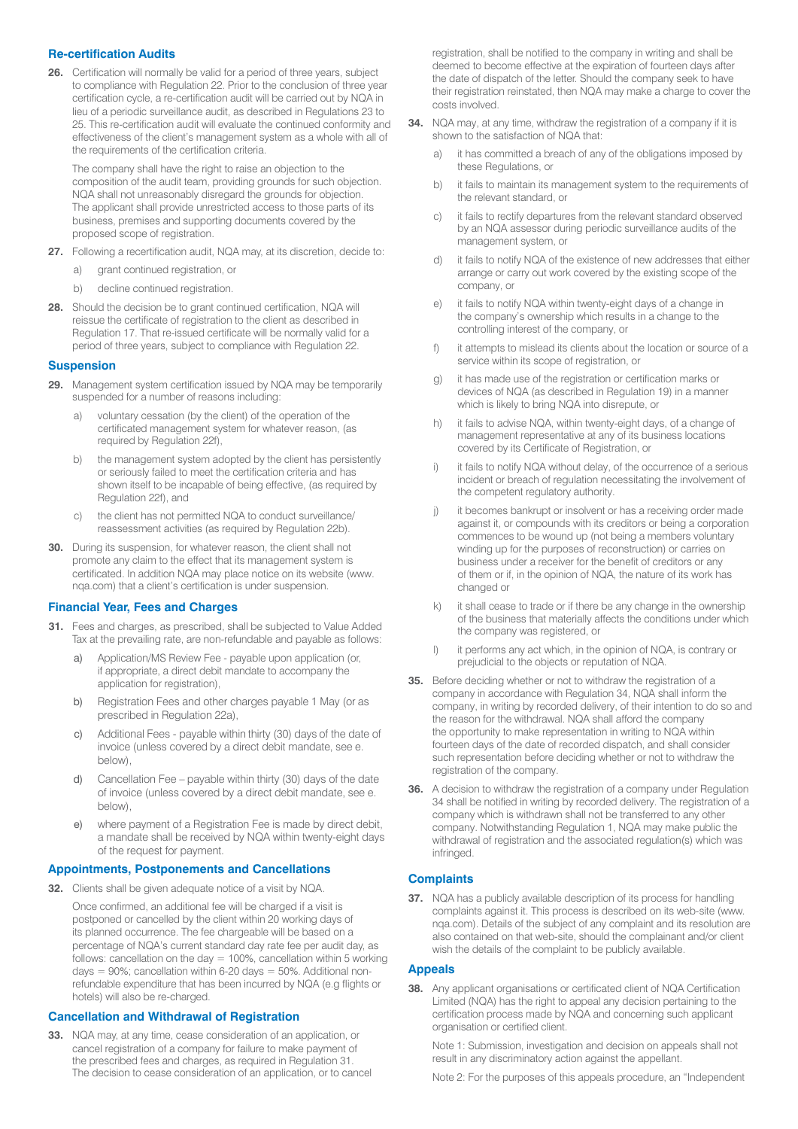# **Re-certification Audits**

**26.** Certification will normally be valid for a period of three years, subject to compliance with Regulation 22. Prior to the conclusion of three year certification cycle, a re-certification audit will be carried out by NQA in lieu of a periodic surveillance audit, as described in Regulations 23 to 25. This re-certification audit will evaluate the continued conformity and effectiveness of the client's management system as a whole with all of the requirements of the certification criteria.

The company shall have the right to raise an objection to the composition of the audit team, providing grounds for such objection. NQA shall not unreasonably disregard the grounds for objection. The applicant shall provide unrestricted access to those parts of its business, premises and supporting documents covered by the proposed scope of registration.

- **27.** Following a recertification audit, NQA may, at its discretion, decide to:
	- grant continued registration, or
	- b) decline continued registration.
- **28.** Should the decision be to grant continued certification, NQA will reissue the certificate of registration to the client as described in Regulation 17. That re-issued certificate will be normally valid for a period of three years, subject to compliance with Regulation 22.

#### **Suspension**

- **29.** Management system certification issued by NQA may be temporarily suspended for a number of reasons including:
	- a) voluntary cessation (by the client) of the operation of the certificated management system for whatever reason, (as required by Regulation 22f),
	- b) the management system adopted by the client has persistently or seriously failed to meet the certification criteria and has shown itself to be incapable of being effective, (as required by Regulation 22f), and
	- c) the client has not permitted NQA to conduct surveillance/ reassessment activities (as required by Regulation 22b).
- **30.** During its suspension, for whatever reason, the client shall not promote any claim to the effect that its management system is certificated. In addition NQA may place notice on its website (www. nqa.com) that a client's certification is under suspension.

#### **Financial Year, Fees and Charges**

- **31.** Fees and charges, as prescribed, shall be subjected to Value Added Tax at the prevailing rate, are non-refundable and payable as follows:
	- Application/MS Review Fee payable upon application (or, if appropriate, a direct debit mandate to accompany the application for registration),
	- b) Registration Fees and other charges payable 1 May (or as prescribed in Regulation 22a),
	- c) Additional Fees payable within thirty (30) days of the date of invoice (unless covered by a direct debit mandate, see e. below),
	- d) Cancellation Fee payable within thirty (30) days of the date of invoice (unless covered by a direct debit mandate, see e. below),
	- e) where payment of a Registration Fee is made by direct debit, a mandate shall be received by NQA within twenty-eight days of the request for payment.

#### **Appointments, Postponements and Cancellations**

**32.** Clients shall be given adequate notice of a visit by NQA.

Once confirmed, an additional fee will be charged if a visit is postponed or cancelled by the client within 20 working days of its planned occurrence. The fee chargeable will be based on a percentage of NQA's current standard day rate fee per audit day, as follows: cancellation on the day  $= 100\%$ , cancellation within 5 working days =  $90\%$ ; cancellation within 6-20 days =  $50\%$ . Additional nonrefundable expenditure that has been incurred by NQA (e.g flights or hotels) will also be re-charged.

## **Cancellation and Withdrawal of Registration**

**33.** NQA may, at any time, cease consideration of an application, or cancel registration of a company for failure to make payment of the prescribed fees and charges, as required in Regulation 31. The decision to cease consideration of an application, or to cancel registration, shall be notified to the company in writing and shall be deemed to become effective at the expiration of fourteen days after the date of dispatch of the letter. Should the company seek to have their registration reinstated, then NQA may make a charge to cover the costs involved.

- **34.** NQA may, at any time, withdraw the registration of a company if it is shown to the satisfaction of NQA that:
	- a) it has committed a breach of any of the obligations imposed by these Regulations, or
	- b) it fails to maintain its management system to the requirements of the relevant standard, or
	- c) it fails to rectify departures from the relevant standard observed by an NQA assessor during periodic surveillance audits of the management system, or
	- d) it fails to notify NQA of the existence of new addresses that either arrange or carry out work covered by the existing scope of the company, or
	- e) it fails to notify NQA within twenty-eight days of a change in the company's ownership which results in a change to the controlling interest of the company, or
	- f) it attempts to mislead its clients about the location or source of a service within its scope of registration, or
	- g) it has made use of the registration or certification marks or devices of NQA (as described in Regulation 19) in a manner which is likely to bring NQA into disrepute, or
	- h) it fails to advise NQA, within twenty-eight days, of a change of management representative at any of its business locations covered by its Certificate of Registration, or
	- i) it fails to notify NQA without delay, of the occurrence of a serious incident or breach of regulation necessitating the involvement of the competent regulatory authority.
	- j) it becomes bankrupt or insolvent or has a receiving order made against it, or compounds with its creditors or being a corporation commences to be wound up (not being a members voluntary winding up for the purposes of reconstruction) or carries on business under a receiver for the benefit of creditors or any of them or if, in the opinion of NQA, the nature of its work has changed or
	- k) it shall cease to trade or if there be any change in the ownership of the business that materially affects the conditions under which the company was registered, or
	- l) it performs any act which, in the opinion of NQA, is contrary or prejudicial to the objects or reputation of NQA.
- **35.** Before deciding whether or not to withdraw the registration of a company in accordance with Regulation 34, NQA shall inform the company, in writing by recorded delivery, of their intention to do so and the reason for the withdrawal. NQA shall afford the company the opportunity to make representation in writing to NQA within fourteen days of the date of recorded dispatch, and shall consider such representation before deciding whether or not to withdraw the registration of the company.
- **36.** A decision to withdraw the registration of a company under Regulation 34 shall be notified in writing by recorded delivery. The registration of a company which is withdrawn shall not be transferred to any other company. Notwithstanding Regulation 1, NQA may make public the withdrawal of registration and the associated regulation(s) which was infringed.

## **Complaints**

**37.** NQA has a publicly available description of its process for handling complaints against it. This process is described on its web-site (www. nqa.com). Details of the subject of any complaint and its resolution are also contained on that web-site, should the complainant and/or client wish the details of the complaint to be publicly available.

#### **Appeals**

**38.** Any applicant organisations or certificated client of NQA Certification Limited (NQA) has the right to appeal any decision pertaining to the certification process made by NQA and concerning such applicant organisation or certified client.

Note 1: Submission, investigation and decision on appeals shall not result in any discriminatory action against the appellant.

Note 2: For the purposes of this appeals procedure, an "Independent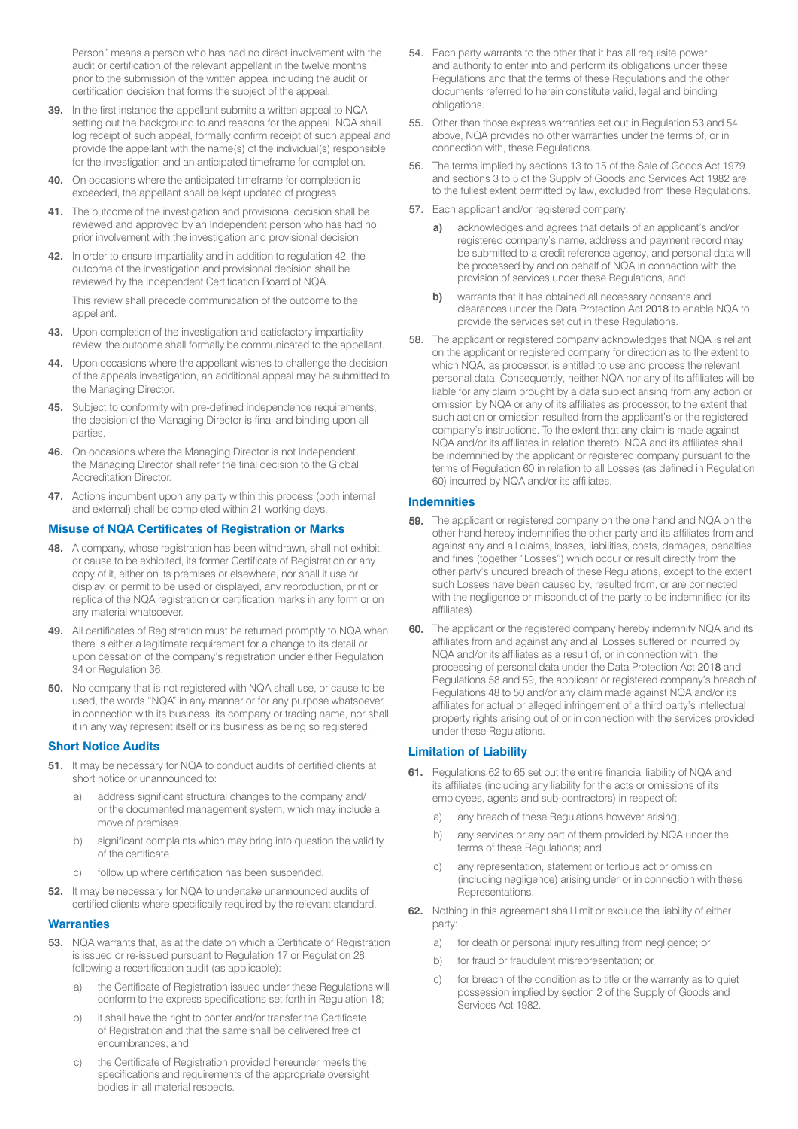Person" means a person who has had no direct involvement with the audit or certification of the relevant appellant in the twelve months prior to the submission of the written appeal including the audit or certification decision that forms the subject of the appeal.

- **39.** In the first instance the appellant submits a written appeal to NQA setting out the background to and reasons for the appeal. NQA shall log receipt of such appeal, formally confirm receipt of such appeal and provide the appellant with the name(s) of the individual(s) responsible for the investigation and an anticipated timeframe for completion.
- **40.** On occasions where the anticipated timeframe for completion is exceeded, the appellant shall be kept updated of progress.
- **41.** The outcome of the investigation and provisional decision shall be reviewed and approved by an Independent person who has had no prior involvement with the investigation and provisional decision.
- **42.** In order to ensure impartiality and in addition to regulation 42, the outcome of the investigation and provisional decision shall be reviewed by the Independent Certification Board of NQA.

This review shall precede communication of the outcome to the appellant.

- **43.** Upon completion of the investigation and satisfactory impartiality review, the outcome shall formally be communicated to the appellant.
- **44.** Upon occasions where the appellant wishes to challenge the decision of the appeals investigation, an additional appeal may be submitted to the Managing Director.
- **45.** Subject to conformity with pre-defined independence requirements, the decision of the Managing Director is final and binding upon all parties.
- **46.** On occasions where the Managing Director is not Independent, the Managing Director shall refer the final decision to the Global Accreditation Director.
- **47.** Actions incumbent upon any party within this process (both internal and external) shall be completed within 21 working days.

## **Misuse of NQA Certificates of Registration or Marks**

- **48.** A company, whose registration has been withdrawn, shall not exhibit, or cause to be exhibited, its former Certificate of Registration or any copy of it, either on its premises or elsewhere, nor shall it use or display, or permit to be used or displayed, any reproduction, print or replica of the NQA registration or certification marks in any form or on any material whatsoever.
- **49.** All certificates of Registration must be returned promptly to NQA when there is either a legitimate requirement for a change to its detail or upon cessation of the company's registration under either Regulation 34 or Regulation 36.
- **50.** No company that is not registered with NQA shall use, or cause to be used, the words "NQA" in any manner or for any purpose whatsoever, in connection with its business, its company or trading name, nor shall it in any way represent itself or its business as being so registered.

## **Short Notice Audits**

- **51.** It may be necessary for NQA to conduct audits of certified clients at short notice or unannounced to:
	- address significant structural changes to the company and/ or the documented management system, which may include a move of premises.
	- b) significant complaints which may bring into question the validity of the certificate
	- c) follow up where certification has been suspended.
- **52.** It may be necessary for NQA to undertake unannounced audits of certified clients where specifically required by the relevant standard.

#### **Warranties**

- **53.** NQA warrants that, as at the date on which a Certificate of Registration is issued or re-issued pursuant to Regulation 17 or Regulation 28 following a recertification audit (as applicable):
	- a) the Certificate of Registration issued under these Regulations will conform to the express specifications set forth in Regulation 18;
	- b) it shall have the right to confer and/or transfer the Certificate of Registration and that the same shall be delivered free of encumbrances; and
	- c) the Certificate of Registration provided hereunder meets the specifications and requirements of the appropriate oversight bodies in all material respects.
- 54. Each party warrants to the other that it has all requisite power and authority to enter into and perform its obligations under these Regulations and that the terms of these Regulations and the other documents referred to herein constitute valid, legal and binding obligations.
- 55. Other than those express warranties set out in Regulation 53 and 54 above, NQA provides no other warranties under the terms of, or in connection with, these Regulations.
- 56. The terms implied by sections 13 to 15 of the Sale of Goods Act 1979 and sections 3 to 5 of the Supply of Goods and Services Act 1982 are, to the fullest extent permitted by law, excluded from these Regulations.
- 57. Each applicant and/or registered company:
	- **a)** acknowledges and agrees that details of an applicant's and/or registered company's name, address and payment record may be submitted to a credit reference agency, and personal data will be processed by and on behalf of NQA in connection with the provision of services under these Regulations, and
	- **b)** warrants that it has obtained all necessary consents and clearances under the Data Protection Act 2018 to enable NQA to provide the services set out in these Regulations.
- 58. The applicant or registered company acknowledges that NQA is reliant on the applicant or registered company for direction as to the extent to which NQA, as processor, is entitled to use and process the relevant personal data. Consequently, neither NQA nor any of its affiliates will be liable for any claim brought by a data subject arising from any action or omission by NQA or any of its affiliates as processor, to the extent that such action or omission resulted from the applicant's or the registered company's instructions. To the extent that any claim is made against NQA and/or its affiliates in relation thereto. NQA and its affiliates shall be indemnified by the applicant or registered company pursuant to the terms of Regulation 60 in relation to all Losses (as defined in Regulation 60) incurred by NQA and/or its affiliates.

#### **Indemnities**

- 59. The applicant or registered company on the one hand and NQA on the other hand hereby indemnifies the other party and its affiliates from and against any and all claims, losses, liabilities, costs, damages, penalties and fines (together "Losses") which occur or result directly from the other party's uncured breach of these Regulations, except to the extent such Losses have been caused by, resulted from, or are connected with the negligence or misconduct of the party to be indemnified (or its affiliates).
- 60. The applicant or the registered company hereby indemnify NQA and its affiliates from and against any and all Losses suffered or incurred by NQA and/or its affiliates as a result of, or in connection with, the processing of personal data under the Data Protection Act 2018 and Regulations 58 and 59, the applicant or registered company's breach of Regulations 48 to 50 and/or any claim made against NQA and/or its affiliates for actual or alleged infringement of a third party's intellectual property rights arising out of or in connection with the services provided under these Regulations.

## **Limitation of Liability**

- **61.** Regulations 62 to 65 set out the entire financial liability of NQA and its affiliates (including any liability for the acts or omissions of its employees, agents and sub-contractors) in respect of:
	- a) any breach of these Regulations however arising;
	- b) any services or any part of them provided by NQA under the terms of these Regulations; and
	- c) any representation, statement or tortious act or omission (including negligence) arising under or in connection with these **Representations**
- **62.** Nothing in this agreement shall limit or exclude the liability of either party:
	- a) for death or personal injury resulting from negligence; or
	- b) for fraud or fraudulent misrepresentation; or
	- c) for breach of the condition as to title or the warranty as to quiet possession implied by section 2 of the Supply of Goods and Services Act 1982.